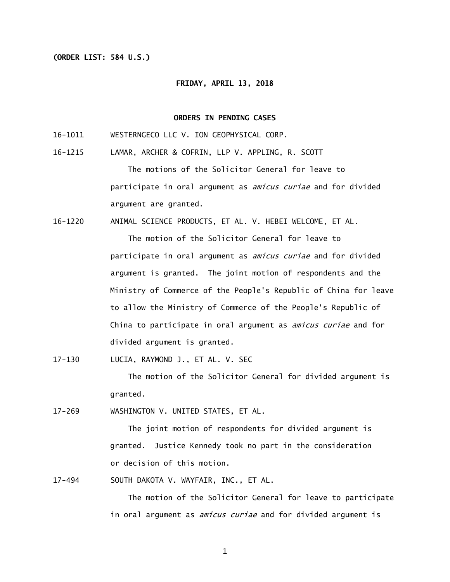## **(ORDER LIST: 584 U.S.)**

## **FRIDAY, APRIL 13, 2018**

## **ORDERS IN PENDING CASES**

- 16-1011 WESTERNGECO LLC V. ION GEOPHYSICAL CORP.
- 16-1215 LAMAR, ARCHER & COFRIN, LLP V. APPLING, R. SCOTT

The motions of the Solicitor General for leave to participate in oral argument as *amicus curiae* and for divided argument are granted.

16-1220 ANIMAL SCIENCE PRODUCTS, ET AL. V. HEBEI WELCOME, ET AL.

The motion of the Solicitor General for leave to participate in oral argument as *amicus curiae* and for divided argument is granted. The joint motion of respondents and the Ministry of Commerce of the People's Republic of China for leave to allow the Ministry of Commerce of the People's Republic of China to participate in oral argument as *amicus curiae* and for divided argument is granted.

 $17 - 130$ LUCIA, RAYMOND J., ET AL. V. SEC

> The motion of the Solicitor General for divided argument is granted.

 $17 - 269$ WASHINGTON V. UNITED STATES, ET AL.

> The joint motion of respondents for divided argument is granted. Justice Kennedy took no part in the consideration or decision of this motion.

 $17 - 494$ SOUTH DAKOTA V. WAYFAIR, INC., ET AL.

> The motion of the Solicitor General for leave to participate in oral argument as *amicus curiae* and for divided argument is

> > 1